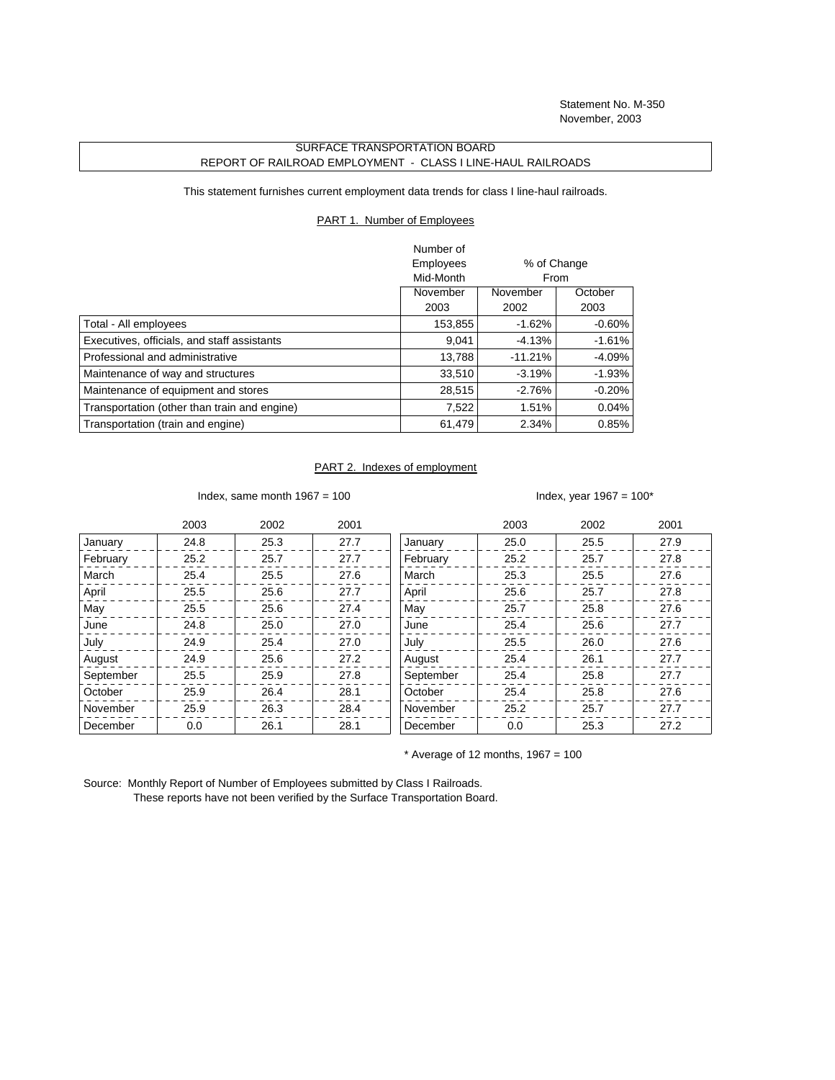Statement No. M-350 November, 2003

## SURFACE TRANSPORTATION BOARD REPORT OF RAILROAD EMPLOYMENT - CLASS I LINE-HAUL RAILROADS

This statement furnishes current employment data trends for class I line-haul railroads.

## PART 1. Number of Employees

|                                              | Number of |             |           |
|----------------------------------------------|-----------|-------------|-----------|
|                                              | Employees | % of Change |           |
|                                              | Mid-Month |             | From      |
|                                              | November  | November    | October   |
|                                              | 2003      | 2002        | 2003      |
| Total - All employees                        | 153,855   | $-1.62%$    | $-0.60\%$ |
| Executives, officials, and staff assistants  | 9,041     | $-4.13%$    | $-1.61%$  |
| Professional and administrative              | 13.788    | $-11.21%$   | -4.09%    |
| Maintenance of way and structures            | 33,510    | $-3.19%$    | $-1.93%$  |
| Maintenance of equipment and stores          | 28,515    | $-2.76%$    | $-0.20%$  |
| Transportation (other than train and engine) | 7,522     | 1.51%       | 0.04%     |
| Transportation (train and engine)            | 61,479    | 2.34%       | 0.85%     |

## PART 2. Indexes of employment

Index, same month  $1967 = 100$  Index, year  $1967 = 100^*$ 

|           | 2003 | 2002 | 2001 |           | 2003 | 2002 | 2001 |
|-----------|------|------|------|-----------|------|------|------|
| January   | 24.8 | 25.3 | 27.7 | January   | 25.0 | 25.5 | 27.9 |
| February  | 25.2 | 25.7 | 27.7 | February  | 25.2 | 25.7 | 27.8 |
| March     | 25.4 | 25.5 | 27.6 | March     | 25.3 | 25.5 | 27.6 |
| April     | 25.5 | 25.6 | 27.7 | April     | 25.6 | 25.7 | 27.8 |
| May       | 25.5 | 25.6 | 27.4 | May       | 25.7 | 25.8 | 27.6 |
| June      | 24.8 | 25.0 | 27.0 | June      | 25.4 | 25.6 | 27.7 |
| July      | 24.9 | 25.4 | 27.0 | July      | 25.5 | 26.0 | 27.6 |
| August    | 24.9 | 25.6 | 27.2 | August    | 25.4 | 26.1 | 27.7 |
| September | 25.5 | 25.9 | 27.8 | September | 25.4 | 25.8 | 27.7 |
| October   | 25.9 | 26.4 | 28.1 | October   | 25.4 | 25.8 | 27.6 |
| November  | 25.9 | 26.3 | 28.4 | November  | 25.2 | 25.7 | 27.7 |
| December  | 0.0  | 26.1 | 28.1 | December  | 0.0  | 25.3 | 27.2 |

 $*$  Average of 12 months, 1967 = 100

Source: Monthly Report of Number of Employees submitted by Class I Railroads. These reports have not been verified by the Surface Transportation Board.